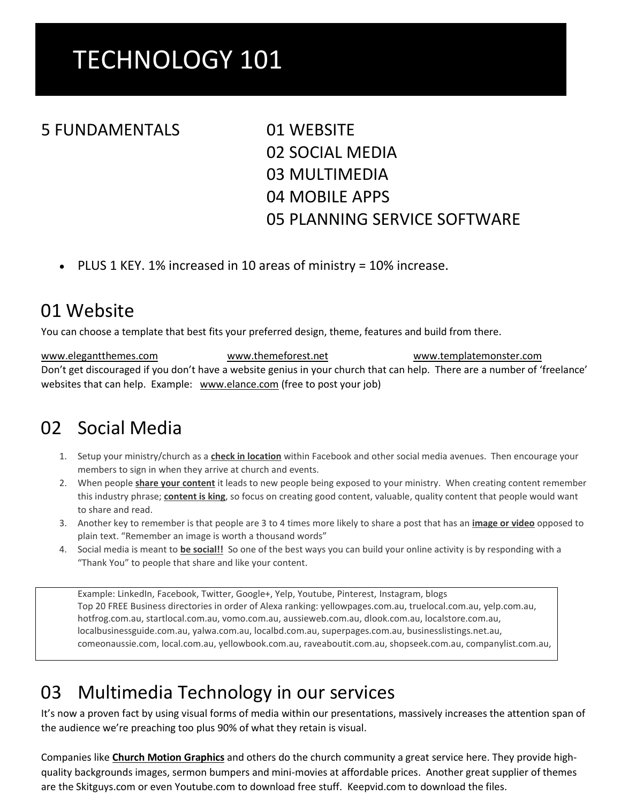# TECHNOLOGY 101

#### 5 FUNDAMENTALS 01 WEBSITE

02 SOCIAL MEDIA 03 MULTIMEDIA 04 MOBILE APPS 05 PLANNING SERVICE SOFTWARE

PLUS 1 KEY. 1% increased in 10 areas of ministry = 10% increase.

#### 01 Website

You can choose a template that best fits your preferred design, theme, features and build from there.

Don't get discouraged if you don't have a website genius in your church that can help. There are a number of 'freelance' websites that can help. Example: www.elance.com (free to post your job) www.elegantthemes.com www.themeforest.net www.templatemonster.com

#### 02 Social Media

- 1. Setup your ministry/church as a **check in location** within Facebook and other social media avenues. Then encourage your members to sign in when they arrive at church and events.
- 2. When people **share your content** it leads to new people being exposed to your ministry. When creating content remember this industry phrase; **content is king**, so focus on creating good content, valuable, quality content that people would want to share and read.
- 3. Another key to remember is that people are 3 to 4 times more likely to share a post that has an **image or video** opposed to plain text. "Remember an image is worth a thousand words"
- 4. Social media is meant to **be social!!** So one of the best ways you can build your online activity is by responding with a "Thank You" to people that share and like your content.

Example: LinkedIn, Facebook, Twitter, Google+, Yelp, Youtube, Pinterest, Instagram, blogs Top 20 FREE Business directories in order of Alexa ranking: yellowpages.com.au, truelocal.com.au, yelp.com.au, hotfrog.com.au, startlocal.com.au, vomo.com.au, aussieweb.com.au, dlook.com.au, localstore.com.au, localbusinessguide.com.au, yalwa.com.au, localbd.com.au, superpages.com.au, businesslistings.net.au, comeonaussie.com, local.com.au, yellowbook.com.au, raveaboutit.com.au, shopseek.com.au, companylist.com.au,

### 03 Multimedia Technology in our services

It's now a proven fact by using visual forms of media within our presentations, massively increases the attention span of the audience we're preaching too plus 90% of what they retain is visual.

Companies like **Church Motion [Graphics](http://churchmotiongraphics.com/)** and others do the church community a great service here. They provide highquality backgrounds images, sermon bumpers and mini-movies at affordable prices. Another great supplier of themes are the Skitguys.com or even Youtube.com to download free stuff. Keepvid.com to download the files.